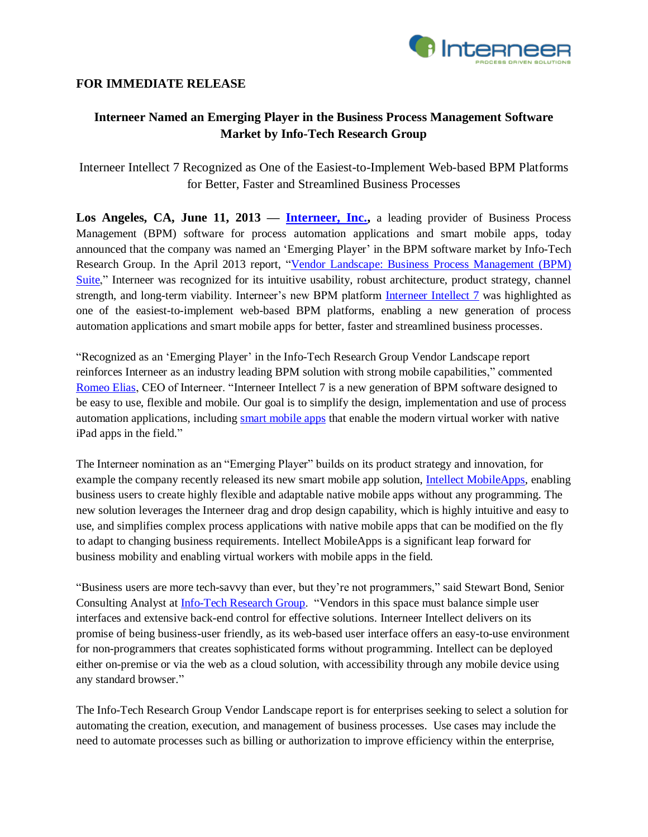

## **FOR IMMEDIATE RELEASE**

# **Interneer Named an Emerging Player in the Business Process Management Software Market by Info-Tech Research Group**

Interneer Intellect 7 Recognized as One of the Easiest-to-Implement Web-based BPM Platforms for Better, Faster and Streamlined Business Processes

Los Angeles, CA, June 11, 2013 — **Interneer, Inc.**, a leading provider of Business Process Management (BPM) software for process automation applications and smart mobile apps, today announced that the company was named an 'Emerging Player' in the BPM software market by Info-Tech Research Group. In the April 2013 report, ["Vendor Landscape: Business Process Management](http://www.infotech.com/research/ss/it-vendor-landscape-business-process-management-bpm-suites) (BPM) [Suite,](http://www.infotech.com/research/ss/it-vendor-landscape-business-process-management-bpm-suites)" Interneer was recognized for its intuitive usability, robust architecture, product strategy, channel strength, and long-term viability. Interneer's new BPM platform [Interneer Intellect 7](http://www.interneer.com/interneer-intellect/) was highlighted as one of the easiest-to-implement web-based BPM platforms, enabling a new generation of process automation applications and smart mobile apps for better, faster and streamlined business processes.

"Recognized as an 'Emerging Player' in the Info-Tech Research Group Vendor Landscape report reinforces Interneer as an industry leading BPM solution with strong mobile capabilities," commented [Romeo Elias,](http://www.interneer.com/workflow-business-process-management-software-about-us/our-team/) CEO of Interneer. "Interneer Intellect 7 is a new generation of BPM software designed to be easy to use, flexible and mobile. Our goal is to simplify the design, implementation and use of process automation applications, including [smart mobile apps](http://www.interneer.com/intellect-mobileapps/) that enable the modern virtual worker with native iPad apps in the field."

The Interneer nomination as an "Emerging Player" builds on its product strategy and innovation, for example the company recently released its new smart mobile app solution, [Intellect MobileApps,](http://www.interneer.com/intellect-mobileapps/) enabling business users to create highly flexible and adaptable native mobile apps without any programming. The new solution leverages the Interneer drag and drop design capability, which is highly intuitive and easy to use, and simplifies complex process applications with native mobile apps that can be modified on the fly to adapt to changing business requirements. Intellect MobileApps is a significant leap forward for business mobility and enabling virtual workers with mobile apps in the field.

"Business users are more tech-savvy than ever, but they're not programmers," said Stewart Bond, Senior Consulting Analyst at **Info-Tech Research Group**. "Vendors in this space must balance simple user interfaces and extensive back-end control for effective solutions. Interneer Intellect delivers on its promise of being business-user friendly, as its web-based user interface offers an easy-to-use environment for non-programmers that creates sophisticated forms without programming. Intellect can be deployed either on-premise or via the web as a cloud solution, with accessibility through any mobile device using any standard browser."

The Info-Tech Research Group Vendor Landscape report is for enterprises seeking to select a solution for automating the creation, execution, and management of business processes. Use cases may include the need to automate processes such as billing or authorization to improve efficiency within the enterprise,